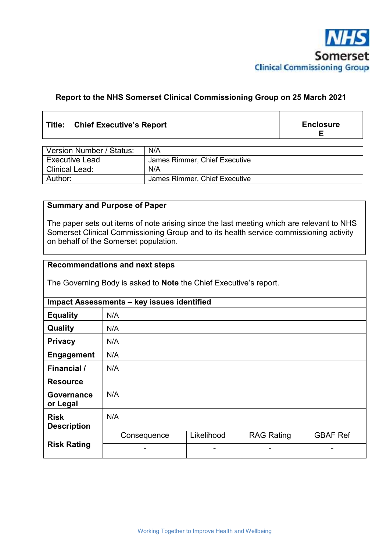

### **Report to the NHS Somerset Clinical Commissioning Group on 25 March 2021**

#### **Title: Chief Executive's Report**

**Enclosure E** 

| Version Number / Status: | N/A                           |
|--------------------------|-------------------------------|
| <b>Executive Lead</b>    | James Rimmer, Chief Executive |
| <b>Clinical Lead:</b>    | N/A                           |
| Author:                  | James Rimmer, Chief Executive |

#### **Summary and Purpose of Paper**

The paper sets out items of note arising since the last meeting which are relevant to NHS Somerset Clinical Commissioning Group and to its health service commissioning activity on behalf of the Somerset population.

# **Recommendations and next steps**

The Governing Body is asked to **Note** the Chief Executive's report.

| Impact Assessments - key issues identified |             |            |                   |                 |  |  |
|--------------------------------------------|-------------|------------|-------------------|-----------------|--|--|
| <b>Equality</b>                            | N/A         |            |                   |                 |  |  |
| Quality                                    | N/A         |            |                   |                 |  |  |
| <b>Privacy</b>                             | N/A         |            |                   |                 |  |  |
| <b>Engagement</b>                          | N/A         |            |                   |                 |  |  |
| Financial /                                | N/A         |            |                   |                 |  |  |
| <b>Resource</b>                            |             |            |                   |                 |  |  |
| <b>Governance</b><br>or Legal              | N/A         |            |                   |                 |  |  |
| <b>Risk</b><br><b>Description</b>          | N/A         |            |                   |                 |  |  |
| <b>Risk Rating</b>                         | Consequence | Likelihood | <b>RAG Rating</b> | <b>GBAF Ref</b> |  |  |
|                                            | -           | -          | ۰                 |                 |  |  |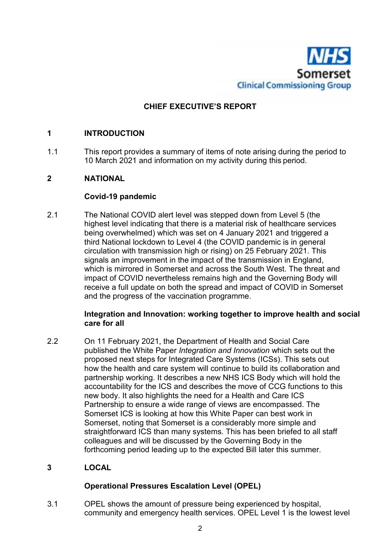

# **CHIEF EXECUTIVE'S REPORT**

#### **1 INTRODUCTION**

1.1 This report provides a summary of items of note arising during the period to 10 March 2021 and information on my activity during this period.

### **2 NATIONAL**

#### **Covid-19 pandemic**

2.1 The National COVID alert level was stepped down from Level 5 (the highest level indicating that there is a material risk of healthcare services being overwhelmed) which was set on 4 January 2021 and triggered a third National lockdown to Level 4 (the COVID pandemic is in general circulation with transmission high or rising) on 25 February 2021. This signals an improvement in the impact of the transmission in England, which is mirrored in Somerset and across the South West. The threat and impact of COVID nevertheless remains high and the Governing Body will receive a full update on both the spread and impact of COVID in Somerset and the progress of the vaccination programme.

#### **Integration and Innovation: working together to improve health and social care for all**

2.2 On 11 February 2021, the Department of Health and Social Care published the White Paper *Integration and Innovation* which sets out the proposed next steps for Integrated Care Systems (ICSs). This sets out how the health and care system will continue to build its collaboration and partnership working. It describes a new NHS ICS Body which will hold the accountability for the ICS and describes the move of CCG functions to this new body. It also highlights the need for a Health and Care ICS Partnership to ensure a wide range of views are encompassed. The Somerset ICS is looking at how this White Paper can best work in Somerset, noting that Somerset is a considerably more simple and straightforward ICS than many systems. This has been briefed to all staff colleagues and will be discussed by the Governing Body in the forthcoming period leading up to the expected Bill later this summer.

## **3 LOCAL**

#### **Operational Pressures Escalation Level (OPEL)**

3.1 OPEL shows the amount of pressure being experienced by hospital, community and emergency health services. OPEL Level 1 is the lowest level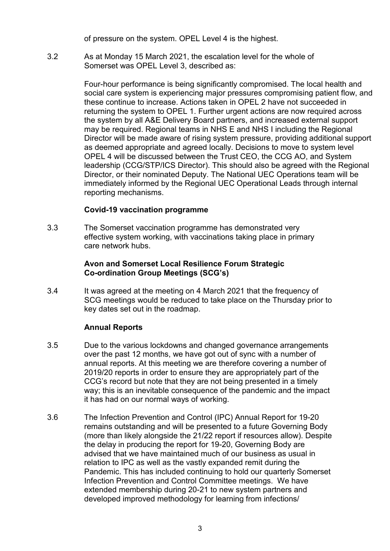of pressure on the system. OPEL Level 4 is the highest.

3.2 As at Monday 15 March 2021, the escalation level for the whole of Somerset was OPEL Level 3, described as:

> Four-hour performance is being significantly compromised. The local health and social care system is experiencing major pressures compromising patient flow, and these continue to increase. Actions taken in OPEL 2 have not succeeded in returning the system to OPEL 1. Further urgent actions are now required across the system by all A&E Delivery Board partners, and increased external support may be required. Regional teams in NHS E and NHS I including the Regional Director will be made aware of rising system pressure, providing additional support as deemed appropriate and agreed locally. Decisions to move to system level OPEL 4 will be discussed between the Trust CEO, the CCG AO, and System leadership (CCG/STP/ICS Director). This should also be agreed with the Regional Director, or their nominated Deputy. The National UEC Operations team will be immediately informed by the Regional UEC Operational Leads through internal reporting mechanisms.

#### **Covid-19 vaccination programme**

3.3 The Somerset vaccination programme has demonstrated very effective system working, with vaccinations taking place in primary care network hubs.

#### **Avon and Somerset Local Resilience Forum Strategic Co-ordination Group Meetings (SCG's)**

3.4 It was agreed at the meeting on 4 March 2021 that the frequency of SCG meetings would be reduced to take place on the Thursday prior to key dates set out in the roadmap.

#### **Annual Reports**

- 3.5 Due to the various lockdowns and changed governance arrangements over the past 12 months, we have got out of sync with a number of annual reports. At this meeting we are therefore covering a number of 2019/20 reports in order to ensure they are appropriately part of the CCG's record but note that they are not being presented in a timely way; this is an inevitable consequence of the pandemic and the impact it has had on our normal ways of working.
- 3.6 The Infection Prevention and Control (IPC) Annual Report for 19-20 remains outstanding and will be presented to a future Governing Body (more than likely alongside the 21/22 report if resources allow). Despite the delay in producing the report for 19-20, Governing Body are advised that we have maintained much of our business as usual in relation to IPC as well as the vastly expanded remit during the Pandemic. This has included continuing to hold our quarterly Somerset Infection Prevention and Control Committee meetings. We have extended membership during 20-21 to new system partners and developed improved methodology for learning from infections/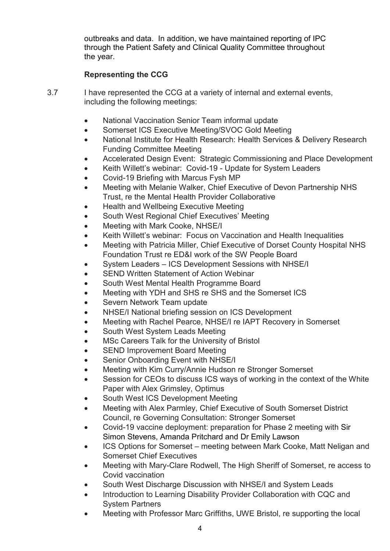outbreaks and data. In addition, we have maintained reporting of IPC through the Patient Safety and Clinical Quality Committee throughout the year.

# **Representing the CCG**

- 3.7 I have represented the CCG at a variety of internal and external events, including the following meetings:
	- National Vaccination Senior Team informal update
	- Somerset ICS Executive Meeting/SVOC Gold Meeting
	- National Institute for Health Research: Health Services & Delivery Research Funding Committee Meeting
	- Accelerated Design Event: Strategic Commissioning and Place Development
	- Keith Willett's webinar: Covid-19 Update for System Leaders
	- Covid-19 Briefing with Marcus Fysh MP
	- Meeting with Melanie Walker, Chief Executive of Devon Partnership NHS Trust, re the Mental Health Provider Collaborative
	- Health and Wellbeing Executive Meeting
	- South West Regional Chief Executives' Meeting
	- Meeting with Mark Cooke, NHSE/I
	- Keith Willett's webinar: Focus on Vaccination and Health Inequalities
	- Meeting with Patricia Miller, Chief Executive of Dorset County Hospital NHS Foundation Trust re ED&I work of the SW People Board
	- System Leaders ICS Development Sessions with NHSE/I
	- SEND Written Statement of Action Webinar
	- South West Mental Health Programme Board
	- Meeting with YDH and SHS re SHS and the Somerset ICS
	- Severn Network Team update
	- NHSE/I National briefing session on ICS Development
	- Meeting with Rachel Pearce, NHSE/I re IAPT Recovery in Somerset
	- South West System Leads Meeting
	- MSc Careers Talk for the University of Bristol
	- SEND Improvement Board Meeting
	- Senior Onboarding Event with NHSE/I
	- Meeting with Kim Curry/Annie Hudson re Stronger Somerset
	- Session for CEOs to discuss ICS ways of working in the context of the White Paper with Alex Grimsley, Optimus
	- South West ICS Development Meeting
	- Meeting with Alex Parmley, Chief Executive of South Somerset District Council, re Governing Consultation: Stronger Somerset
	- Covid-19 vaccine deployment: preparation for Phase 2 meeting with Sir Simon Stevens, Amanda Pritchard and Dr Emily Lawson
	- ICS Options for Somerset meeting between Mark Cooke, Matt Neligan and Somerset Chief Executives
	- Meeting with Mary-Clare Rodwell, The High Sheriff of Somerset, re access to Covid vaccination
	- South West Discharge Discussion with NHSE/I and System Leads
	- Introduction to Learning Disability Provider Collaboration with CQC and System Partners
	- Meeting with Professor Marc Griffiths, UWE Bristol, re supporting the local